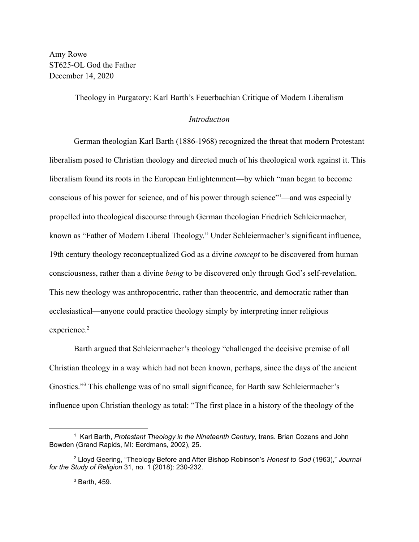Amy Rowe ST625-OL God the Father December 14, 2020

Theology in Purgatory: Karl Barth's Feuerbachian Critique of Modern Liberalism

# *Introduction*

German theologian Karl Barth (1886-1968) recognized the threat that modern Protestant liberalism posed to Christian theology and directed much of his theological work against it. This liberalism found its roots in the European Enlightenment—by which "man began to become conscious of his power for science, and of his power through science"<sup>1</sup>—and was especially propelled into theological discourse through German theologian Friedrich Schleiermacher, known as "Father of Modern Liberal Theology." Under Schleiermacher's significant influence, 19th century theology reconceptualized God as a divine *concept* to be discovered from human consciousness, rather than a divine *being* to be discovered only through God's self-revelation. This new theology was anthropocentric, rather than theocentric, and democratic rather than ecclesiastical—anyone could practice theology simply by interpreting inner religious experience.<sup>2</sup>

Barth argued that Schleiermacher's theology "challenged the decisive premise of all Christian theology in a way which had not been known, perhaps, since the days of the ancient Gnostics."<sup>3</sup> This challenge was of no small significance, for Barth saw Schleiermacher's influence upon Christian theology as total: "The first place in a history of the theology of the

<sup>1</sup> Karl Barth, *Protestant Theology in the Nineteenth Century*, trans. Brian Cozens and John Bowden (Grand Rapids, MI: Eerdmans, 2002), 25.

<sup>2</sup> Lloyd Geering, "Theology Before and After Bishop Robinson's *Honest to God* (1963)," *Journal for the Study of Religion* 31, no. 1 (2018): 230-232.

<sup>3</sup> Barth, 459.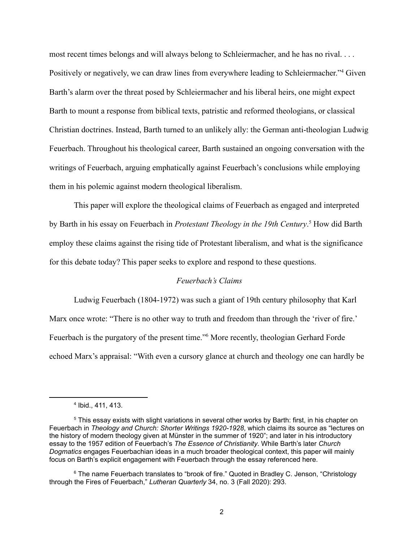most recent times belongs and will always belong to Schleiermacher, and he has no rival. . . . Positively or negatively, we can draw lines from everywhere leading to Schleiermacher."<sup>4</sup> Given Barth's alarm over the threat posed by Schleiermacher and his liberal heirs, one might expect Barth to mount a response from biblical texts, patristic and reformed theologians, or classical Christian doctrines. Instead, Barth turned to an unlikely ally: the German anti-theologian Ludwig Feuerbach. Throughout his theological career, Barth sustained an ongoing conversation with the writings of Feuerbach, arguing emphatically against Feuerbach's conclusions while employing them in his polemic against modern theological liberalism.

This paper will explore the theological claims of Feuerbach as engaged and interpreted by Barth in his essay on Feuerbach in *Protestant Theology in the 19th Century*. <sup>5</sup> How did Barth employ these claims against the rising tide of Protestant liberalism, and what is the significance for this debate today? This paper seeks to explore and respond to these questions.

### *Feuerbach's Claims*

Ludwig Feuerbach (1804-1972) was such a giant of 19th century philosophy that Karl Marx once wrote: "There is no other way to truth and freedom than through the 'river of fire.' Feuerbach is the purgatory of the present time."<sup>6</sup> More recently, theologian Gerhard Forde echoed Marx's appraisal: "With even a cursory glance at church and theology one can hardly be

<sup>4</sup> Ibid., 411, 413.

<sup>5</sup> This essay exists with slight variations in several other works by Barth: first, in his chapter on Feuerbach in *Theology and Church: Shorter Writings 1920-1928*, which claims its source as "lectures on the history of modern theology given at Münster in the summer of 1920"; and later in his introductory essay to the 1957 edition of Feuerbach's *The Essence of Christianity*. While Barth's later *Church Dogmatics* engages Feuerbachian ideas in a much broader theological context, this paper will mainly focus on Barth's explicit engagement with Feuerbach through the essay referenced here.

<sup>&</sup>lt;sup>6</sup> The name Feuerbach translates to "brook of fire." Quoted in Bradley C. Jenson, "Christology through the Fires of Feuerbach," *Lutheran Quarterly* 34, no. 3 (Fall 2020): 293.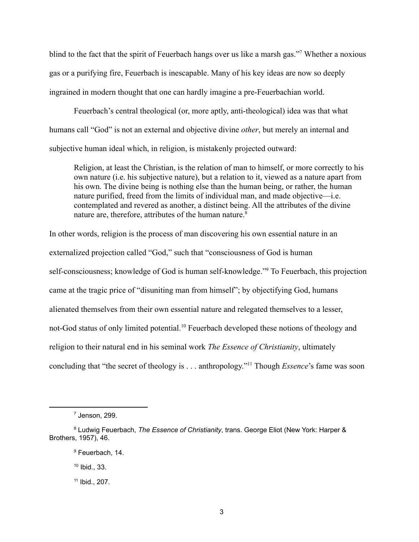blind to the fact that the spirit of Feuerbach hangs over us like a marsh gas."<sup>7</sup> Whether a noxious gas or a purifying fire, Feuerbach is inescapable. Many of his key ideas are now so deeply ingrained in modern thought that one can hardly imagine a pre-Feuerbachian world.

Feuerbach's central theological (or, more aptly, anti-theological) idea was that what humans call "God" is not an external and objective divine *other*, but merely an internal and subjective human ideal which, in religion, is mistakenly projected outward:

Religion, at least the Christian, is the relation of man to himself, or more correctly to his own nature (i.e. his subjective nature), but a relation to it, viewed as a nature apart from his own. The divine being is nothing else than the human being, or rather, the human nature purified, freed from the limits of individual man, and made objective—i.e. contemplated and revered as another, a distinct being. All the attributes of the divine nature are, therefore, attributes of the human nature.<sup>8</sup>

In other words, religion is the process of man discovering his own essential nature in an externalized projection called "God," such that "consciousness of God is human self-consciousness; knowledge of God is human self-knowledge."<sup>9</sup> To Feuerbach, this projection came at the tragic price of "disuniting man from himself"; by objectifying God, humans alienated themselves from their own essential nature and relegated themselves to a lesser, not-God status of only limited potential.<sup>10</sup> Feuerbach developed these notions of theology and religion to their natural end in his seminal work *The Essence of Christianity*, ultimately concluding that "the secret of theology is . . . anthropology."<sup>11</sup> Though *Essence*'s fame was soon

<sup>7</sup> Jenson, 299.

<sup>8</sup> Ludwig Feuerbach, *The Essence of Christianity*, trans. George Eliot (New York: Harper & Brothers, 1957), 46.

<sup>&</sup>lt;sup>9</sup> Feuerbach, 14.

<sup>10</sup> Ibid., 33.

<sup>11</sup> Ibid., 207.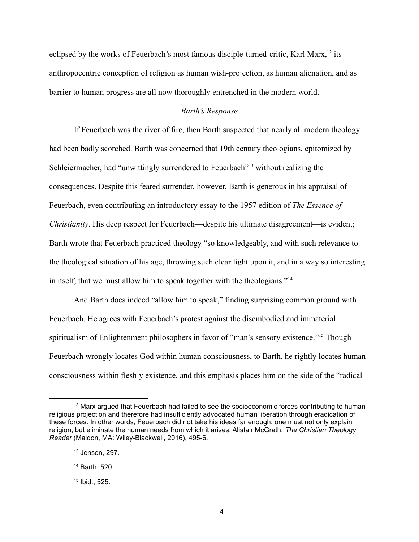eclipsed by the works of Feuerbach's most famous disciple-turned-critic, Karl Marx,<sup>12</sup> its anthropocentric conception of religion as human wish-projection, as human alienation, and as barrier to human progress are all now thoroughly entrenched in the modern world.

### *Barth's Response*

If Feuerbach was the river of fire, then Barth suspected that nearly all modern theology had been badly scorched. Barth was concerned that 19th century theologians, epitomized by Schleiermacher, had "unwittingly surrendered to Feuerbach"<sup>13</sup> without realizing the consequences. Despite this feared surrender, however, Barth is generous in his appraisal of Feuerbach, even contributing an introductory essay to the 1957 edition of *The Essence of Christianity*. His deep respect for Feuerbach—despite his ultimate disagreement—is evident; Barth wrote that Feuerbach practiced theology "so knowledgeably, and with such relevance to the theological situation of his age, throwing such clear light upon it, and in a way so interesting in itself, that we must allow him to speak together with the theologians."<sup>14</sup>

And Barth does indeed "allow him to speak," finding surprising common ground with Feuerbach. He agrees with Feuerbach's protest against the disembodied and immaterial spiritualism of Enlightenment philosophers in favor of "man's sensory existence."<sup>15</sup> Though Feuerbach wrongly locates God within human consciousness, to Barth, he rightly locates human consciousness within fleshly existence, and this emphasis places him on the side of the "radical

 $12$  Marx argued that Feuerbach had failed to see the socioeconomic forces contributing to human religious projection and therefore had insufficiently advocated human liberation through eradication of these forces. In other words, Feuerbach did not take his ideas far enough; one must not only explain religion, but eliminate the human needs from which it arises. Alistair McGrath, *The Christian Theology Reader* (Maldon, MA: Wiley-Blackwell, 2016), 495-6.

<sup>13</sup> Jenson, 297.

<sup>14</sup> Barth, 520.

<sup>15</sup> Ibid., 525.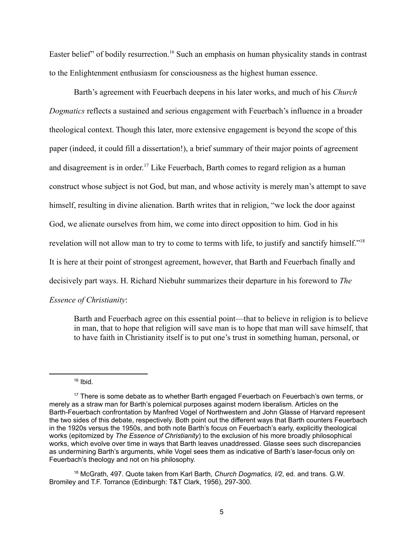Easter belief" of bodily resurrection.<sup>16</sup> Such an emphasis on human physicality stands in contrast to the Enlightenment enthusiasm for consciousness as the highest human essence.

Barth's agreement with Feuerbach deepens in his later works, and much of his *Church Dogmatics* reflects a sustained and serious engagement with Feuerbach's influence in a broader theological context. Though this later, more extensive engagement is beyond the scope of this paper (indeed, it could fill a dissertation!), a brief summary of their major points of agreement and disagreement is in order. <sup>17</sup> Like Feuerbach, Barth comes to regard religion as a human construct whose subject is not God, but man, and whose activity is merely man's attempt to save himself, resulting in divine alienation. Barth writes that in religion, "we lock the door against God, we alienate ourselves from him, we come into direct opposition to him. God in his revelation will not allow man to try to come to terms with life, to justify and sanctify himself."<sup>18</sup> It is here at their point of strongest agreement, however, that Barth and Feuerbach finally and decisively part ways. H. Richard Niebuhr summarizes their departure in his foreword to *The Essence of Christianity*:

Barth and Feuerbach agree on this essential point—that to believe in religion is to believe in man, that to hope that religion will save man is to hope that man will save himself, that to have faith in Christianity itself is to put one's trust in something human, personal, or

 $16$  Ibid.

<sup>18</sup> McGrath, 497. Quote taken from Karl Barth, *Church Dogmatics, I/2*, ed. and trans. G.W. Bromiley and T.F. Torrance (Edinburgh: T&T Clark, 1956), 297-300.

<sup>&</sup>lt;sup>17</sup> There is some debate as to whether Barth engaged Feuerbach on Feuerbach's own terms, or merely as a straw man for Barth's polemical purposes against modern liberalism. Articles on the Barth-Feuerbach confrontation by Manfred Vogel of Northwestern and John Glasse of Harvard represent the two sides of this debate, respectively. Both point out the different ways that Barth counters Feuerbach in the 1920s versus the 1950s, and both note Barth's focus on Feuerbach's early, explicitly theological works (epitomized by *The Essence of Christianity*) to the exclusion of his more broadly philosophical works, which evolve over time in ways that Barth leaves unaddressed. Glasse sees such discrepancies as undermining Barth's arguments, while Vogel sees them as indicative of Barth's laser-focus only on Feuerbach's theology and not on his philosophy.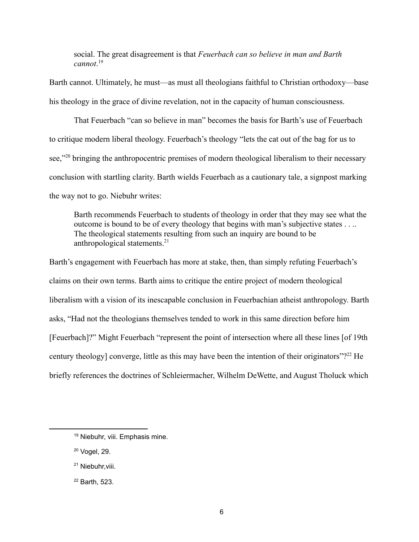social. The great disagreement is that *Feuerbach can so believe in man and Barth cannot*. 19

Barth cannot. Ultimately, he must—as must all theologians faithful to Christian orthodoxy—base his theology in the grace of divine revelation, not in the capacity of human consciousness.

That Feuerbach "can so believe in man" becomes the basis for Barth's use of Feuerbach to critique modern liberal theology. Feuerbach's theology "lets the cat out of the bag for us to see,"<sup>20</sup> bringing the anthropocentric premises of modern theological liberalism to their necessary conclusion with startling clarity. Barth wields Feuerbach as a cautionary tale, a signpost marking the way not to go. Niebuhr writes:

Barth recommends Feuerbach to students of theology in order that they may see what the outcome is bound to be of every theology that begins with man's subjective states . . .. The theological statements resulting from such an inquiry are bound to be anthropological statements.<sup>21</sup>

Barth's engagement with Feuerbach has more at stake, then, than simply refuting Feuerbach's claims on their own terms. Barth aims to critique the entire project of modern theological liberalism with a vision of its inescapable conclusion in Feuerbachian atheist anthropology. Barth asks, "Had not the theologians themselves tended to work in this same direction before him [Feuerbach]?" Might Feuerbach "represent the point of intersection where all these lines [of 19th century theology] converge, little as this may have been the intention of their originators"?<sup>22</sup> He briefly references the doctrines of Schleiermacher, Wilhelm DeWette, and August Tholuck which

- <sup>20</sup> Vogel, 29.
- <sup>21</sup> Niebuhr, viii.
- <sup>22</sup> Barth, 523.

<sup>&</sup>lt;sup>19</sup> Niebuhr, viii. Emphasis mine.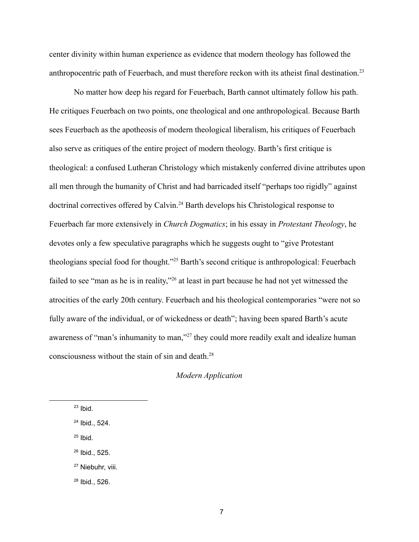center divinity within human experience as evidence that modern theology has followed the anthropocentric path of Feuerbach, and must therefore reckon with its atheist final destination.<sup>23</sup>

No matter how deep his regard for Feuerbach, Barth cannot ultimately follow his path. He critiques Feuerbach on two points, one theological and one anthropological. Because Barth sees Feuerbach as the apotheosis of modern theological liberalism, his critiques of Feuerbach also serve as critiques of the entire project of modern theology. Barth's first critique is theological: a confused Lutheran Christology which mistakenly conferred divine attributes upon all men through the humanity of Christ and had barricaded itself "perhaps too rigidly" against doctrinal correctives offered by Calvin.<sup>24</sup> Barth develops his Christological response to Feuerbach far more extensively in *Church Dogmatics*; in his essay in *Protestant Theology*, he devotes only a few speculative paragraphs which he suggests ought to "give Protestant theologians special food for thought."<sup>25</sup> Barth's second critique is anthropological: Feuerbach failed to see "man as he is in reality,"<sup>26</sup> at least in part because he had not yet witnessed the atrocities of the early 20th century. Feuerbach and his theological contemporaries "were not so fully aware of the individual, or of wickedness or death"; having been spared Barth's acute awareness of "man's inhumanity to man,"<sup>27</sup> they could more readily exalt and idealize human consciousness without the stain of sin and death.<sup>28</sup>

## *Modern Application*

- $25$  Ibid.
- <sup>26</sup> Ibid., 525.

 $23$  Ibid.

<sup>24</sup> Ibid., 524.

<sup>&</sup>lt;sup>27</sup> Niebuhr, viii.

<sup>28</sup> Ibid., 526.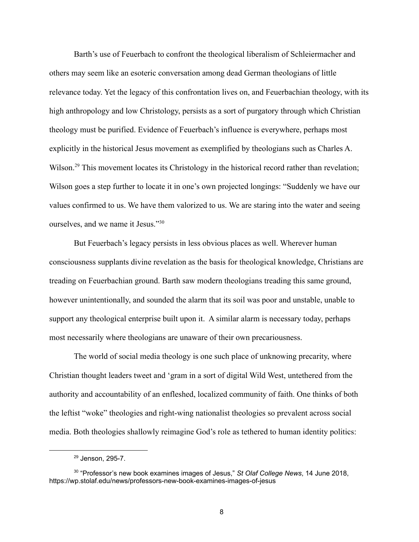Barth's use of Feuerbach to confront the theological liberalism of Schleiermacher and others may seem like an esoteric conversation among dead German theologians of little relevance today. Yet the legacy of this confrontation lives on, and Feuerbachian theology, with its high anthropology and low Christology, persists as a sort of purgatory through which Christian theology must be purified. Evidence of Feuerbach's influence is everywhere, perhaps most explicitly in the historical Jesus movement as exemplified by theologians such as Charles A. Wilson.<sup>29</sup> This movement locates its Christology in the historical record rather than revelation; Wilson goes a step further to locate it in one's own projected longings: "Suddenly we have our values confirmed to us. We have them valorized to us. We are staring into the water and seeing ourselves, and we name it Jesus."<sup>30</sup>

But Feuerbach's legacy persists in less obvious places as well. Wherever human consciousness supplants divine revelation as the basis for theological knowledge, Christians are treading on Feuerbachian ground. Barth saw modern theologians treading this same ground, however unintentionally, and sounded the alarm that its soil was poor and unstable, unable to support any theological enterprise built upon it. A similar alarm is necessary today, perhaps most necessarily where theologians are unaware of their own precariousness.

The world of social media theology is one such place of unknowing precarity, where Christian thought leaders tweet and 'gram in a sort of digital Wild West, untethered from the authority and accountability of an enfleshed, localized community of faith. One thinks of both the leftist "woke" theologies and right-wing nationalist theologies so prevalent across social media. Both theologies shallowly reimagine God's role as tethered to human identity politics:

<sup>29</sup> Jenson, 295-7.

<sup>30</sup> "Professor's new book examines images of Jesus," *St Olaf College News*, 14 June 2018, https://wp.stolaf.edu/news/professors-new-book-examines-images-of-jesus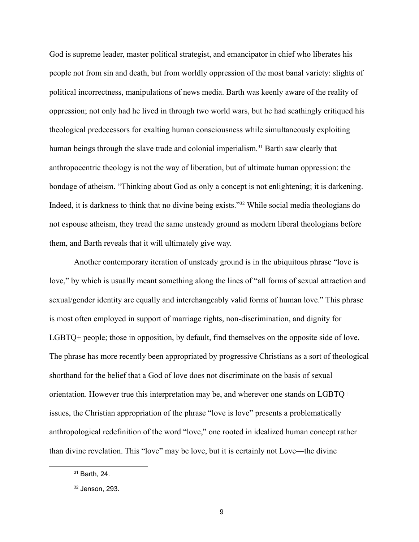God is supreme leader, master political strategist, and emancipator in chief who liberates his people not from sin and death, but from worldly oppression of the most banal variety: slights of political incorrectness, manipulations of news media. Barth was keenly aware of the reality of oppression; not only had he lived in through two world wars, but he had scathingly critiqued his theological predecessors for exalting human consciousness while simultaneously exploiting human beings through the slave trade and colonial imperialism.<sup>31</sup> Barth saw clearly that anthropocentric theology is not the way of liberation, but of ultimate human oppression: the bondage of atheism. "Thinking about God as only a concept is not enlightening; it is darkening. Indeed, it is darkness to think that no divine being exists."<sup>32</sup> While social media theologians do not espouse atheism, they tread the same unsteady ground as modern liberal theologians before them, and Barth reveals that it will ultimately give way.

Another contemporary iteration of unsteady ground is in the ubiquitous phrase "love is love," by which is usually meant something along the lines of "all forms of sexual attraction and sexual/gender identity are equally and interchangeably valid forms of human love." This phrase is most often employed in support of marriage rights, non-discrimination, and dignity for LGBTQ+ people; those in opposition, by default, find themselves on the opposite side of love. The phrase has more recently been appropriated by progressive Christians as a sort of theological shorthand for the belief that a God of love does not discriminate on the basis of sexual orientation. However true this interpretation may be, and wherever one stands on LGBTQ+ issues, the Christian appropriation of the phrase "love is love" presents a problematically anthropological redefinition of the word "love," one rooted in idealized human concept rather than divine revelation. This "love" may be love, but it is certainly not Love—the divine

<sup>31</sup> Barth, 24.

 $32$  Jenson, 293.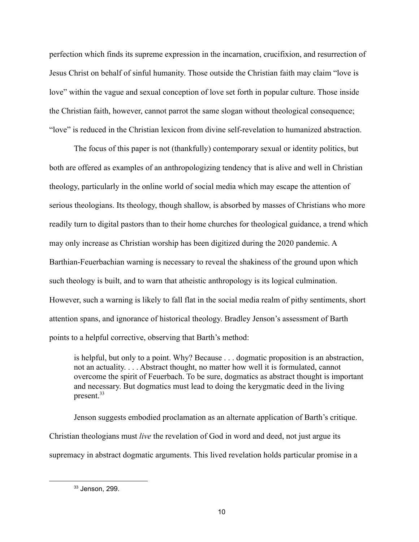perfection which finds its supreme expression in the incarnation, crucifixion, and resurrection of Jesus Christ on behalf of sinful humanity. Those outside the Christian faith may claim "love is love" within the vague and sexual conception of love set forth in popular culture. Those inside the Christian faith, however, cannot parrot the same slogan without theological consequence; "love" is reduced in the Christian lexicon from divine self-revelation to humanized abstraction.

The focus of this paper is not (thankfully) contemporary sexual or identity politics, but both are offered as examples of an anthropologizing tendency that is alive and well in Christian theology, particularly in the online world of social media which may escape the attention of serious theologians. Its theology, though shallow, is absorbed by masses of Christians who more readily turn to digital pastors than to their home churches for theological guidance, a trend which may only increase as Christian worship has been digitized during the 2020 pandemic. A Barthian-Feuerbachian warning is necessary to reveal the shakiness of the ground upon which such theology is built, and to warn that atheistic anthropology is its logical culmination. However, such a warning is likely to fall flat in the social media realm of pithy sentiments, short attention spans, and ignorance of historical theology. Bradley Jenson's assessment of Barth points to a helpful corrective, observing that Barth's method:

is helpful, but only to a point. Why? Because . . . dogmatic proposition is an abstraction, not an actuality. . . . Abstract thought, no matter how well it is formulated, cannot overcome the spirit of Feuerbach. To be sure, dogmatics as abstract thought is important and necessary. But dogmatics must lead to doing the kerygmatic deed in the living present.<sup>33</sup>

Jenson suggests embodied proclamation as an alternate application of Barth's critique. Christian theologians must *live* the revelation of God in word and deed, not just argue its supremacy in abstract dogmatic arguments. This lived revelation holds particular promise in a

<sup>33</sup> Jenson, 299.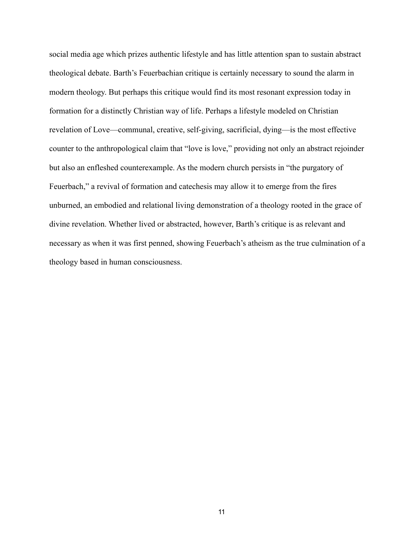social media age which prizes authentic lifestyle and has little attention span to sustain abstract theological debate. Barth's Feuerbachian critique is certainly necessary to sound the alarm in modern theology. But perhaps this critique would find its most resonant expression today in formation for a distinctly Christian way of life. Perhaps a lifestyle modeled on Christian revelation of Love—communal, creative, self-giving, sacrificial, dying—is the most effective counter to the anthropological claim that "love is love," providing not only an abstract rejoinder but also an enfleshed counterexample. As the modern church persists in "the purgatory of Feuerbach," a revival of formation and catechesis may allow it to emerge from the fires unburned, an embodied and relational living demonstration of a theology rooted in the grace of divine revelation. Whether lived or abstracted, however, Barth's critique is as relevant and necessary as when it was first penned, showing Feuerbach's atheism as the true culmination of a theology based in human consciousness.